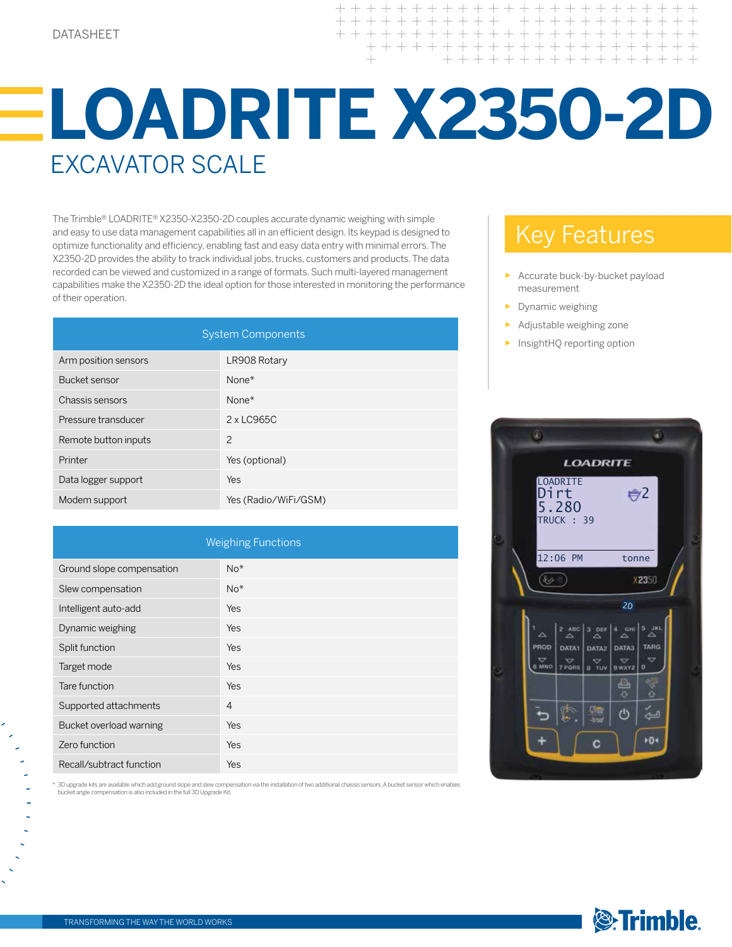$+ + + +$  $+ + + +$  $+ + +$  $+$  $+$  $+$  $+ + + + +$ 

# **LOADRITE X2350-2D** EXCAVATOR SCALE

The Trimble® LOADRITE® X2350-X2350-2D couples accurate dynamic weighing with simple and easy to use data management capabilities all in an efficient design. Its keypad is designed to optimize functionality and efficiency, enabling fast and easy data entry with minimal errors. The X2350-2D provides the ability to track individual jobs, trucks, customers and products. The data recorded can be viewed and customized in a range of formats. Such multi-layered management capabilities make the X2350-2D the ideal option for those interested in monitoring the performance of their operation.

| <b>System Components</b> |                      |  |
|--------------------------|----------------------|--|
| Arm position sensors     | LR908 Rotary         |  |
| Bucket sensor            | None $*$             |  |
| Chassis sensors          | None $*$             |  |
| Pressure transducer      | 2 x LC965C           |  |
| Remote button inputs     | $\overline{c}$       |  |
| Printer                  | Yes (optional)       |  |
| Data logger support      | Yes                  |  |
| Modem support            | Yes (Radio/WiFi/GSM) |  |

| <b>Weighing Functions</b> |                |  |
|---------------------------|----------------|--|
| Ground slope compensation | $No*$          |  |
| Slew compensation         | $No*$          |  |
| Intelligent auto-add      | Yes            |  |
| Dynamic weighing          | Yes            |  |
| Split function            | Yes            |  |
| Target mode               | Yes            |  |
| Tare function             | Yes            |  |
| Supported attachments     | $\overline{4}$ |  |
| Bucket overload warning   | Yes            |  |
| Zero function             | Yes            |  |
| Recall/subtract function  | Yes            |  |

\* 3D upgrade kits are available which add ground slope and slew compensation via the installation of two additional chassis sensors. A bucket sensor which enables<br>bucket angle compensation is also included in the full 3D U

### Key Features

- Accurate buck-by-bucket payload measurement
- ► Dynamic weighing
- Adjustable weighing zone
- InsightHQ reporting option